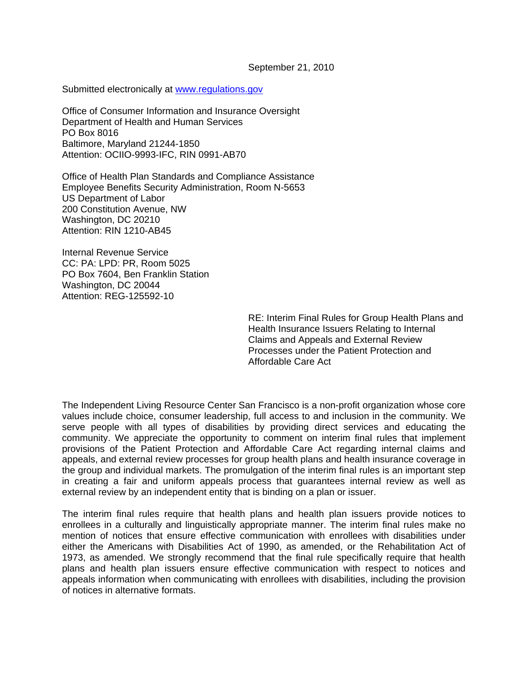September 21, 2010

Submitted electronically at [www.regulations.gov](http://www.regulations.gov/)

Office of Consumer Information and Insurance Oversight Department of Health and Human Services PO Box 8016 Baltimore, Maryland 21244-1850 Attention: OCIIO-9993-IFC, RIN 0991-AB70

Office of Health Plan Standards and Compliance Assistance Employee Benefits Security Administration, Room N-5653 US Department of Labor 200 Constitution Avenue, NW Washington, DC 20210 Attention: RIN 1210-AB45

Internal Revenue Service CC: PA: LPD: PR, Room 5025 PO Box 7604, Ben Franklin Station Washington, DC 20044 Attention: REG-125592-10

> RE: Interim Final Rules for Group Health Plans and Health Insurance Issuers Relating to Internal Claims and Appeals and External Review Processes under the Patient Protection and Affordable Care Act

The Independent Living Resource Center San Francisco is a non-profit organization whose core values include choice, consumer leadership, full access to and inclusion in the community. We serve people with all types of disabilities by providing direct services and educating the community. We appreciate the opportunity to comment on interim final rules that implement provisions of the Patient Protection and Affordable Care Act regarding internal claims and appeals, and external review processes for group health plans and health insurance coverage in the group and individual markets. The promulgation of the interim final rules is an important step in creating a fair and uniform appeals process that guarantees internal review as well as external review by an independent entity that is binding on a plan or issuer.

The interim final rules require that health plans and health plan issuers provide notices to enrollees in a culturally and linguistically appropriate manner. The interim final rules make no mention of notices that ensure effective communication with enrollees with disabilities under either the Americans with Disabilities Act of 1990, as amended, or the Rehabilitation Act of 1973, as amended. We strongly recommend that the final rule specifically require that health plans and health plan issuers ensure effective communication with respect to notices and appeals information when communicating with enrollees with disabilities, including the provision of notices in alternative formats.